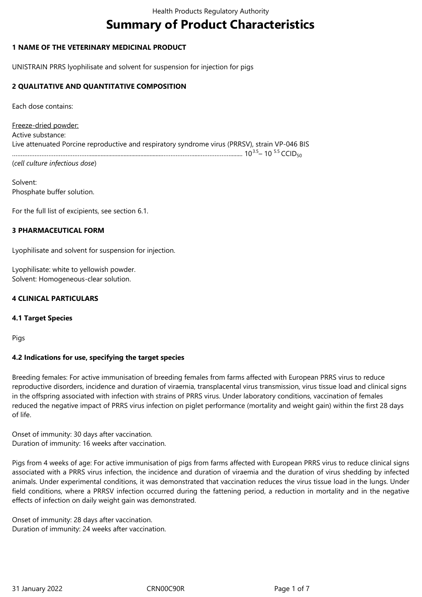# **Summary of Product Characteristics**

## **1 NAME OF THE VETERINARY MEDICINAL PRODUCT**

UNISTRAIN PRRS lyophilisate and solvent for suspension for injection for pigs

## **2 QUALITATIVE AND QUANTITATIVE COMPOSITION**

Each dose contains:

Freeze-dried powder: Active substance: Live attenuated Porcine reproductive and respiratory syndrome virus (PRRSV), strain VP-046 BIS ………………………………………...............................................………………....………………........ 103.5– 10 5.5 CCID<sup>50</sup>

(*cell culture infectious dose*)

Solvent: Phosphate buffer solution.

For the full list of excipients, see section 6.1.

#### **3 PHARMACEUTICAL FORM**

Lyophilisate and solvent for suspension for injection.

Lyophilisate: white to yellowish powder. Solvent: Homogeneous-clear solution.

## **4 CLINICAL PARTICULARS**

#### **4.1 Target Species**

Pigs

# **4.2 Indications for use, specifying the target species**

Breeding females: For active immunisation of breeding females from farms affected with European PRRS virus to reduce reproductive disorders, incidence and duration of viraemia, transplacental virus transmission, virus tissue load and clinical signs in the offspring associated with infection with strains of PRRS virus. Under laboratory conditions, vaccination of females reduced the negative impact of PRRS virus infection on piglet performance (mortality and weight gain) within the first 28 days of life.

Onset of immunity: 30 days after vaccination. Duration of immunity: 16 weeks after vaccination.

Pigs from 4 weeks of age: For active immunisation of pigs from farms affected with European PRRS virus to reduce clinical signs associated with a PRRS virus infection, the incidence and duration of viraemia and the duration of virus shedding by infected animals. Under experimental conditions, it was demonstrated that vaccination reduces the virus tissue load in the lungs. Under field conditions, where a PRRSV infection occurred during the fattening period, a reduction in mortality and in the negative effects of infection on daily weight gain was demonstrated.

Onset of immunity: 28 days after vaccination. Duration of immunity: 24 weeks after vaccination.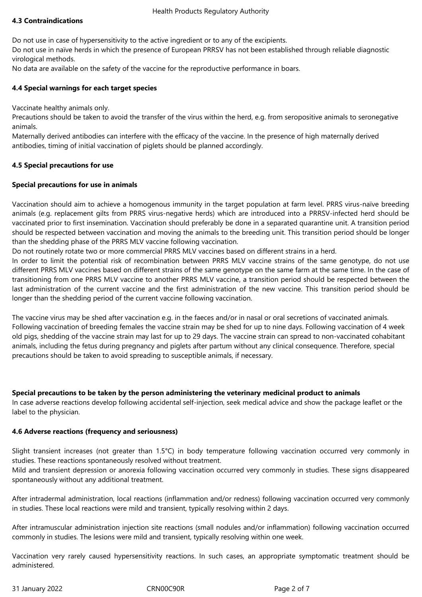# **4.3 Contraindications**

Do not use in case of hypersensitivity to the active ingredient or to any of the excipients.

Do not use in naïve herds in which the presence of European PRRSV has not been established through reliable diagnostic virological methods.

No data are available on the safety of the vaccine for the reproductive performance in boars.

# **4.4 Special warnings for each target species**

Vaccinate healthy animals only.

Precautions should be taken to avoid the transfer of the virus within the herd, e.g. from seropositive animals to seronegative animals.

Maternally derived antibodies can interfere with the efficacy of the vaccine. In the presence of high maternally derived antibodies, timing of initial vaccination of piglets should be planned accordingly.

## **4.5 Special precautions for use**

## **Special precautions for use in animals**

Vaccination should aim to achieve a homogenous immunity in the target population at farm level. PRRS virus-naïve breeding animals (e.g. replacement gilts from PRRS virus-negative herds) which are introduced into a PRRSV-infected herd should be vaccinated prior to first insemination. Vaccination should preferably be done in a separated quarantine unit. A transition period should be respected between vaccination and moving the animals to the breeding unit. This transition period should be longer than the shedding phase of the PRRS MLV vaccine following vaccination.

Do not routinely rotate two or more commercial PRRS MLV vaccines based on different strains in a herd.

In order to limit the potential risk of recombination between PRRS MLV vaccine strains of the same genotype, do not use different PRRS MLV vaccines based on different strains of the same genotype on the same farm at the same time. In the case of transitioning from one PRRS MLV vaccine to another PRRS MLV vaccine, a transition period should be respected between the last administration of the current vaccine and the first administration of the new vaccine. This transition period should be longer than the shedding period of the current vaccine following vaccination.

The vaccine virus may be shed after vaccination e.g. in the faeces and/or in nasal or oral secretions of vaccinated animals. Following vaccination of breeding females the vaccine strain may be shed for up to nine days. Following vaccination of 4 week old pigs, shedding of the vaccine strain may last for up to 29 days. The vaccine strain can spread to non-vaccinated cohabitant animals, including the fetus during pregnancy and piglets after partum without any clinical consequence. Therefore, special precautions should be taken to avoid spreading to susceptible animals, if necessary.

#### **Special precautions to be taken by the person administering the veterinary medicinal product to animals**

In case adverse reactions develop following accidental self-injection, seek medical advice and show the package leaflet or the label to the physician.

#### **4.6 Adverse reactions (frequency and seriousness)**

Slight transient increases (not greater than 1.5°C) in body temperature following vaccination occurred very commonly in studies. These reactions spontaneously resolved without treatment.

Mild and transient depression or anorexia following vaccination occurred very commonly in studies. These signs disappeared spontaneously without any additional treatment.

After intradermal administration, local reactions (inflammation and/or redness) following vaccination occurred very commonly in studies. These local reactions were mild and transient, typically resolving within 2 days.

After intramuscular administration injection site reactions (small nodules and/or inflammation) following vaccination occurred commonly in studies. The lesions were mild and transient, typically resolving within one week.

Vaccination very rarely caused hypersensitivity reactions. In such cases, an appropriate symptomatic treatment should be administered.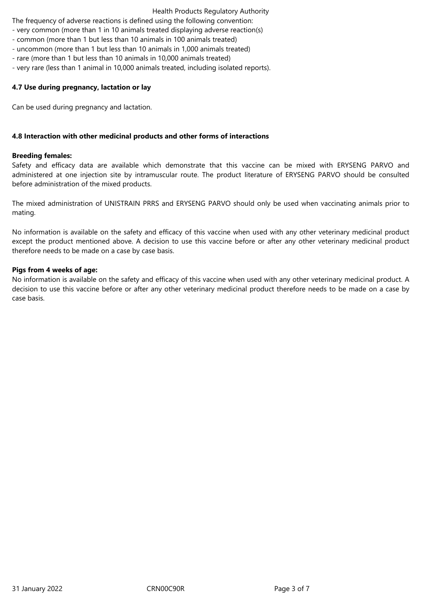#### Health Products Regulatory Authority

The frequency of adverse reactions is defined using the following convention:

- very common (more than 1 in 10 animals treated displaying adverse reaction(s)
- common (more than 1 but less than 10 animals in 100 animals treated)
- uncommon (more than 1 but less than 10 animals in 1,000 animals treated)
- rare (more than 1 but less than 10 animals in 10,000 animals treated)
- very rare (less than 1 animal in 10,000 animals treated, including isolated reports).

## **4.7 Use during pregnancy, lactation or lay**

Can be used during pregnancy and lactation.

## **4.8 Interaction with other medicinal products and other forms of interactions**

#### **Breeding females:**

Safety and efficacy data are available which demonstrate that this vaccine can be mixed with ERYSENG PARVO and administered at one injection site by intramuscular route. The product literature of ERYSENG PARVO should be consulted before administration of the mixed products.

The mixed administration of UNISTRAIN PRRS and ERYSENG PARVO should only be used when vaccinating animals prior to mating.

No information is available on the safety and efficacy of this vaccine when used with any other veterinary medicinal product except the product mentioned above. A decision to use this vaccine before or after any other veterinary medicinal product therefore needs to be made on a case by case basis.

#### **Pigs from 4 weeks of age:**

No information is available on the safety and efficacy of this vaccine when used with any other veterinary medicinal product. A decision to use this vaccine before or after any other veterinary medicinal product therefore needs to be made on a case by case basis.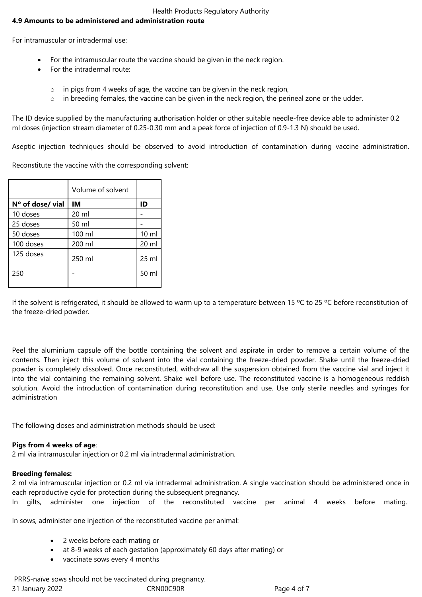## Health Products Regulatory Authority

# **4.9 Amounts to be administered and administration route**

For intramuscular or intradermal use:

- For the intramuscular route the vaccine should be given in the neck region.
- For the intradermal route:
	- o in pigs from 4 weeks of age, the vaccine can be given in the neck region,
	- $\circ$  in breeding females, the vaccine can be given in the neck region, the perineal zone or the udder.

The ID device supplied by the manufacturing authorisation holder or other suitable needle-free device able to administer 0.2 ml doses (injection stream diameter of 0.25-0.30 mm and a peak force of injection of 0.9-1.3 N) should be used.

Aseptic injection techniques should be observed to avoid introduction of contamination during vaccine administration.

Reconstitute the vaccine with the corresponding solvent:

|                  | Volume of solvent |                 |
|------------------|-------------------|-----------------|
| Nº of dose/ vial | IM                | ID              |
| 10 doses         | 20 ml             |                 |
| 25 doses         | 50 ml             |                 |
| 50 doses         | 100 ml            | $10 \mathrm{m}$ |
| 100 doses        | 200 ml            | 20 ml           |
| 125 doses        | 250 ml            | 25 ml           |
| 250              |                   | 50 ml           |

If the solvent is refrigerated, it should be allowed to warm up to a temperature between 15 °C to 25 °C before reconstitution of the freeze-dried powder.

Peel the aluminium capsule off the bottle containing the solvent and aspirate in order to remove a certain volume of the contents. Then inject this volume of solvent into the vial containing the freeze-dried powder. Shake until the freeze-dried powder is completely dissolved. Once reconstituted, withdraw all the suspension obtained from the vaccine vial and inject it into the vial containing the remaining solvent. Shake well before use. The reconstituted vaccine is a homogeneous reddish solution. Avoid the introduction of contamination during reconstitution and use. Use only sterile needles and syringes for administration

The following doses and administration methods should be used:

#### **Pigs from 4 weeks of age**:

2 ml via intramuscular injection or 0.2 ml via intradermal administration.

#### **Breeding females:**

2 ml via intramuscular injection or 0.2 ml via intradermal administration. A single vaccination should be administered once in each reproductive cycle for protection during the subsequent pregnancy.

In gilts, administer one injection of the reconstituted vaccine per animal 4 weeks before mating.

In sows, administer one injection of the reconstituted vaccine per animal:

- 2 weeks before each mating or
- at 8-9 weeks of each gestation (approximately 60 days after mating) or
- vaccinate sows every 4 months

31 January 2022 CRN00C90R Page 4 of 7 PRRS-naïve sows should not be vaccinated during pregnancy.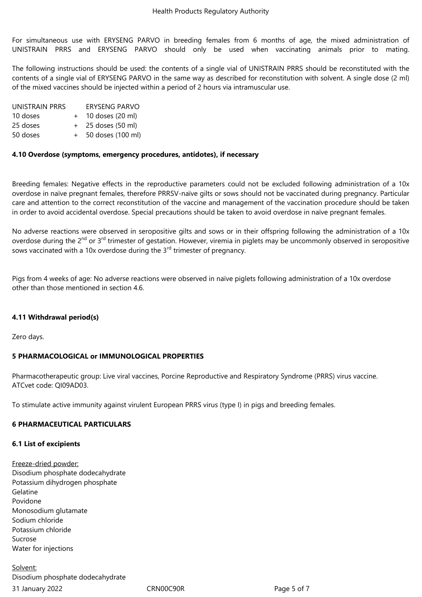For simultaneous use with ERYSENG PARVO in breeding females from 6 months of age, the mixed administration of UNISTRAIN PRRS and ERYSENG PARVO should only be used when vaccinating animals prior to mating.

The following instructions should be used: the contents of a single vial of UNISTRAIN PRRS should be reconstituted with the contents of a single vial of ERYSENG PARVO in the same way as described for reconstitution with solvent. A single dose (2 ml) of the mixed vaccines should be injected within a period of 2 hours via intramuscular use.

| UNISTRAIN PRRS |     | ERYSENG PARVO      |
|----------------|-----|--------------------|
| 10 doses       | $+$ | 10 doses (20 ml)   |
| 25 doses       |     | + 25 doses (50 ml) |
| 50 doses       |     | 50 doses (100 ml)  |

#### **4.10 Overdose (symptoms, emergency procedures, antidotes), if necessary**

Breeding females: Negative effects in the reproductive parameters could not be excluded following administration of a 10x overdose in naïve pregnant females, therefore PRRSV-naïve gilts or sows should not be vaccinated during pregnancy. Particular care and attention to the correct reconstitution of the vaccine and management of the vaccination procedure should be taken in order to avoid accidental overdose. Special precautions should be taken to avoid overdose in naïve pregnant females.

No adverse reactions were observed in seropositive gilts and sows or in their offspring following the administration of a 10x overdose during the 2<sup>nd</sup> or 3<sup>rd</sup> trimester of gestation. However, viremia in piglets may be uncommonly observed in seropositive sows vaccinated with a 10x overdose during the 3<sup>rd</sup> trimester of pregnancy.

Pigs from 4 weeks of age: No adverse reactions were observed in naïve piglets following administration of a 10x overdose other than those mentioned in section 4.6.

#### **4.11 Withdrawal period(s)**

Zero days.

#### **5 PHARMACOLOGICAL or IMMUNOLOGICAL PROPERTIES**

Pharmacotherapeutic group: Live viral vaccines, Porcine Reproductive and Respiratory Syndrome (PRRS) virus vaccine. ATCvet code: QI09AD03.

To stimulate active immunity against virulent European PRRS virus (type I) in pigs and breeding females.

#### **6 PHARMACEUTICAL PARTICULARS**

#### **6.1 List of excipients**

Freeze-dried powder: Disodium phosphate dodecahydrate Potassium dihydrogen phosphate Gelatine Povidone Monosodium glutamate Sodium chloride Potassium chloride Sucrose Water for injections

31 January 2022 CRN00C90R Page 5 of 7 Solvent: Disodium phosphate dodecahydrate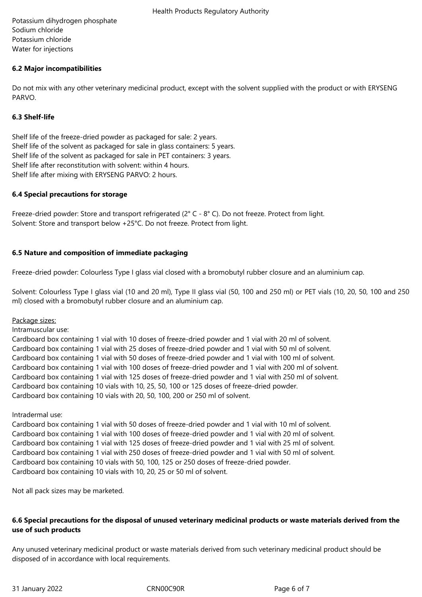Potassium dihydrogen phosphate Sodium chloride Potassium chloride Water for injections

## **6.2 Major incompatibilities**

Do not mix with any other veterinary medicinal product, except with the solvent supplied with the product or with ERYSENG PARVO.

## **6.3 Shelf-life**

Shelf life of the freeze-dried powder as packaged for sale: 2 years. Shelf life of the solvent as packaged for sale in glass containers: 5 years. Shelf life of the solvent as packaged for sale in PET containers: 3 years. Shelf life after reconstitution with solvent: within 4 hours. Shelf life after mixing with ERYSENG PARVO: 2 hours.

#### **6.4 Special precautions for storage**

Freeze-dried powder: Store and transport refrigerated (2° C - 8° C). Do not freeze. Protect from light. Solvent: Store and transport below +25°C. Do not freeze. Protect from light.

## **6.5 Nature and composition of immediate packaging**

Freeze-dried powder: Colourless Type I glass vial closed with a bromobutyl rubber closure and an aluminium cap.

Solvent: Colourless Type I glass vial (10 and 20 ml), Type II glass vial (50, 100 and 250 ml) or PET vials (10, 20, 50, 100 and 250 ml) closed with a bromobutyl rubber closure and an aluminium cap.

Package sizes:

Intramuscular use:

Cardboard box containing 1 vial with 10 doses of freeze-dried powder and 1 vial with 20 ml of solvent. Cardboard box containing 1 vial with 25 doses of freeze-dried powder and 1 vial with 50 ml of solvent. Cardboard box containing 1 vial with 50 doses of freeze-dried powder and 1 vial with 100 ml of solvent. Cardboard box containing 1 vial with 100 doses of freeze-dried powder and 1 vial with 200 ml of solvent. Cardboard box containing 1 vial with 125 doses of freeze-dried powder and 1 vial with 250 ml of solvent. Cardboard box containing 10 vials with 10, 25, 50, 100 or 125 doses of freeze-dried powder. Cardboard box containing 10 vials with 20, 50, 100, 200 or 250 ml of solvent.

Intradermal use:

Cardboard box containing 1 vial with 50 doses of freeze-dried powder and 1 vial with 10 ml of solvent. Cardboard box containing 1 vial with 100 doses of freeze-dried powder and 1 vial with 20 ml of solvent. Cardboard box containing 1 vial with 125 doses of freeze-dried powder and 1 vial with 25 ml of solvent. Cardboard box containing 1 vial with 250 doses of freeze-dried powder and 1 vial with 50 ml of solvent. Cardboard box containing 10 vials with 50, 100, 125 or 250 doses of freeze-dried powder. Cardboard box containing 10 vials with 10, 20, 25 or 50 ml of solvent.

Not all pack sizes may be marketed.

## **6.6 Special precautions for the disposal of unused veterinary medicinal products or waste materials derived from the use of such products**

Any unused veterinary medicinal product or waste materials derived from such veterinary medicinal product should be disposed of in accordance with local requirements.